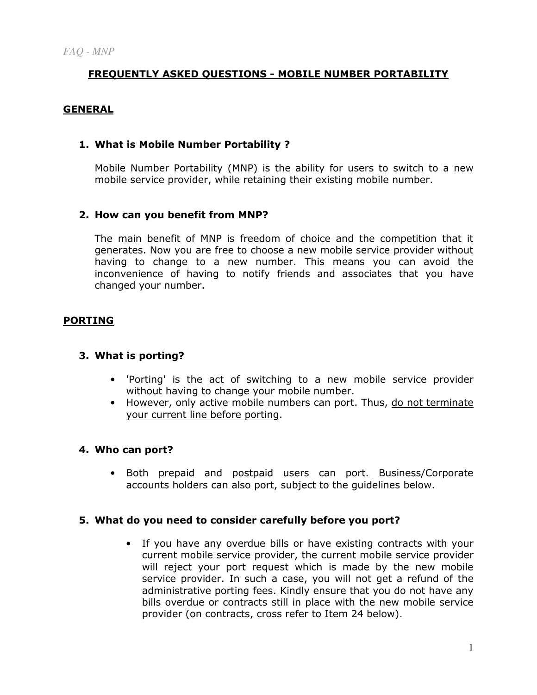# FREQUENTLY ASKED QUESTIONS - MOBILE NUMBER PORTABILITY

### GENERAL

### 1. What is Mobile Number Portability ?

Mobile Number Portability (MNP) is the ability for users to switch to a new mobile service provider, while retaining their existing mobile number.

### 2. How can you benefit from MNP?

The main benefit of MNP is freedom of choice and the competition that it generates. Now you are free to choose a new mobile service provider without having to change to a new number. This means you can avoid the inconvenience of having to notify friends and associates that you have changed your number.

### PORTING

### 3. What is porting?

- 'Porting' is the act of switching to a new mobile service provider without having to change your mobile number.
- However, only active mobile numbers can port. Thus, do not terminate your current line before porting.

### 4. Who can port?

• Both prepaid and postpaid users can port. Business/Corporate accounts holders can also port, subject to the guidelines below.

### 5. What do you need to consider carefully before you port?

• If you have any overdue bills or have existing contracts with your current mobile service provider, the current mobile service provider will reject your port request which is made by the new mobile service provider. In such a case, you will not get a refund of the administrative porting fees. Kindly ensure that you do not have any bills overdue or contracts still in place with the new mobile service provider (on contracts, cross refer to Item 24 below).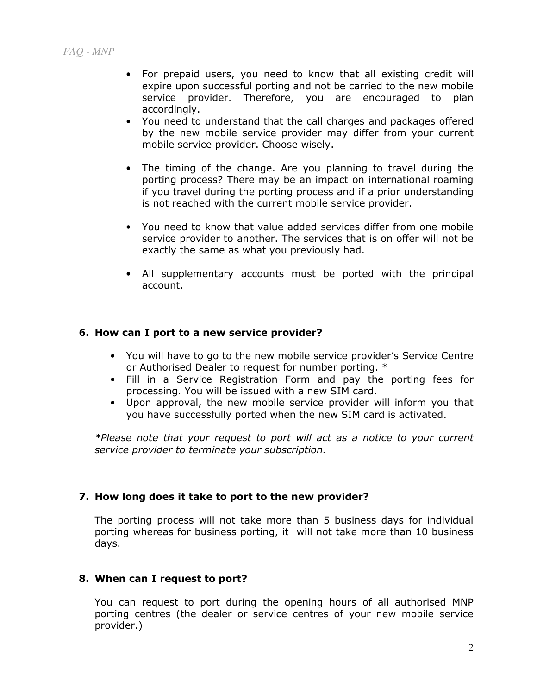- For prepaid users, you need to know that all existing credit will expire upon successful porting and not be carried to the new mobile service provider. Therefore, you are encouraged to plan accordingly.
- You need to understand that the call charges and packages offered by the new mobile service provider may differ from your current mobile service provider. Choose wisely.
- The timing of the change. Are you planning to travel during the porting process? There may be an impact on international roaming if you travel during the porting process and if a prior understanding is not reached with the current mobile service provider.
- You need to know that value added services differ from one mobile service provider to another. The services that is on offer will not be exactly the same as what you previously had.
- All supplementary accounts must be ported with the principal account.

### 6. How can I port to a new service provider?

- You will have to go to the new mobile service provider's Service Centre or Authorised Dealer to request for number porting. \*
- Fill in a Service Registration Form and pay the porting fees for processing. You will be issued with a new SIM card.
- Upon approval, the new mobile service provider will inform you that you have successfully ported when the new SIM card is activated.

\*Please note that your request to port will act as a notice to your current service provider to terminate your subscription.

### 7. How long does it take to port to the new provider?

The porting process will not take more than 5 business days for individual porting whereas for business porting, it will not take more than 10 business days.

## 8. When can I request to port?

You can request to port during the opening hours of all authorised MNP porting centres (the dealer or service centres of your new mobile service provider.)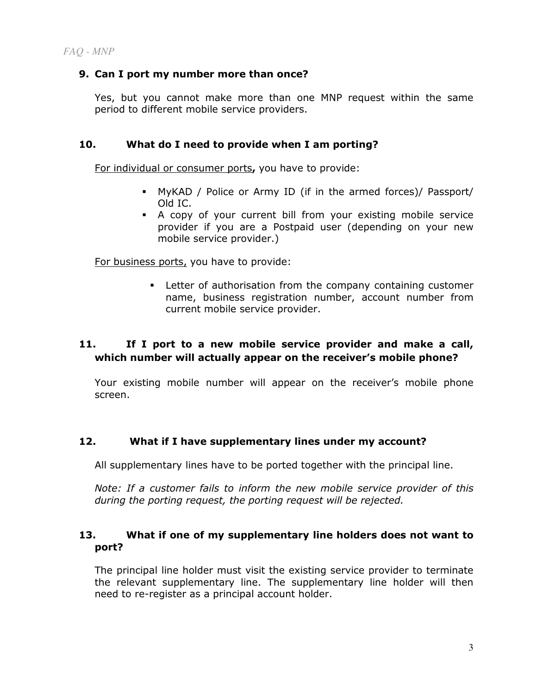### 9. Can I port my number more than once?

Yes, but you cannot make more than one MNP request within the same period to different mobile service providers.

### 10. What do I need to provide when I am porting?

For individual or consumer ports, you have to provide:

- MyKAD / Police or Army ID (if in the armed forces)/ Passport/ Old IC.
- A copy of your current bill from your existing mobile service provider if you are a Postpaid user (depending on your new mobile service provider.)

For business ports, you have to provide:

 Letter of authorisation from the company containing customer name, business registration number, account number from current mobile service provider.

# 11. If I port to a new mobile service provider and make a call, which number will actually appear on the receiver's mobile phone?

Your existing mobile number will appear on the receiver's mobile phone screen.

## 12. What if I have supplementary lines under my account?

All supplementary lines have to be ported together with the principal line.

Note: If a customer fails to inform the new mobile service provider of this during the porting request, the porting request will be rejected.

### 13. What if one of my supplementary line holders does not want to port?

The principal line holder must visit the existing service provider to terminate the relevant supplementary line. The supplementary line holder will then need to re-register as a principal account holder.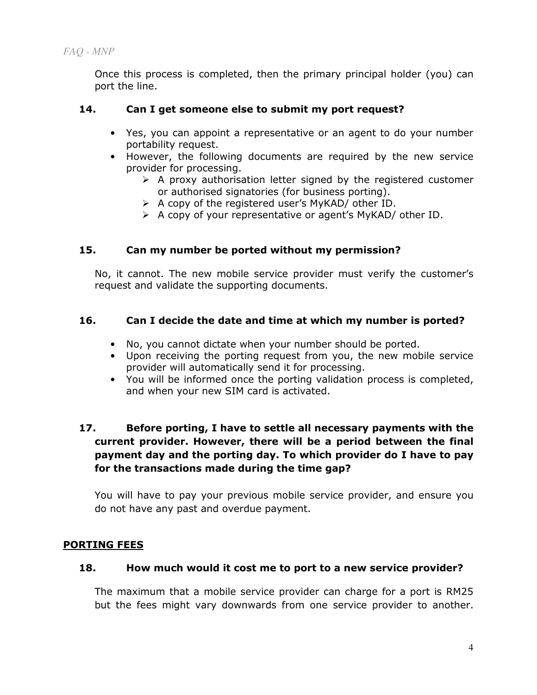*FAQ - MNP* 

Once this process is completed, then the primary principal holder (you) can port the line.

### 14. Can I get someone else to submit my port request?

- Yes, you can appoint a representative or an agent to do your number portability request.
- However, the following documents are required by the new service provider for processing.
	- > A proxy authorisation letter signed by the registered customer or authorised signatories (for business porting).
	- > A copy of the registered user's MyKAD/ other ID.
	- > A copy of your representative or agent's MyKAD/ other ID.

### 15. Can my number be ported without my permission?

No, it cannot. The new mobile service provider must verify the customer's request and validate the supporting documents.

### 16. Can I decide the date and time at which my number is ported?

- No, you cannot dictate when your number should be ported.
- Upon receiving the porting request from you, the new mobile service provider will automatically send it for processing.
- You will be informed once the porting validation process is completed, and when your new SIM card is activated.

# 17. Before porting, I have to settle all necessary payments with the current provider. However, there will be a period between the final payment day and the porting day. To which provider do I have to pay for the transactions made during the time gap?

You will have to pay your previous mobile service provider, and ensure you do not have any past and overdue payment.

## PORTING FEES

### 18. How much would it cost me to port to a new service provider?

The maximum that a mobile service provider can charge for a port is RM25 but the fees might vary downwards from one service provider to another.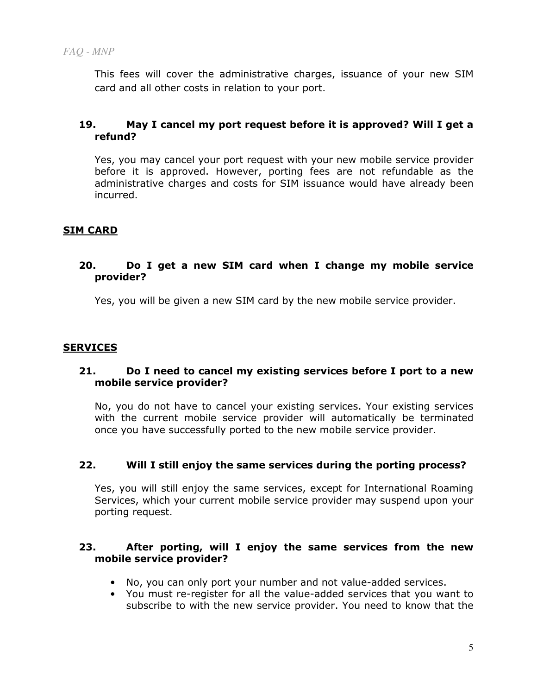This fees will cover the administrative charges, issuance of your new SIM card and all other costs in relation to your port.

## 19. May I cancel my port request before it is approved? Will I get a refund?

Yes, you may cancel your port request with your new mobile service provider before it is approved. However, porting fees are not refundable as the administrative charges and costs for SIM issuance would have already been incurred.

## SIM CARD

### 20. Do I get a new SIM card when I change my mobile service provider?

Yes, you will be given a new SIM card by the new mobile service provider.

## **SERVICES**

### 21. Do I need to cancel my existing services before I port to a new mobile service provider?

No, you do not have to cancel your existing services. Your existing services with the current mobile service provider will automatically be terminated once you have successfully ported to the new mobile service provider.

## 22. Will I still enjoy the same services during the porting process?

Yes, you will still enjoy the same services, except for International Roaming Services, which your current mobile service provider may suspend upon your porting request.

### 23. After porting, will I enjoy the same services from the new mobile service provider?

- No, you can only port your number and not value-added services.
- You must re-register for all the value-added services that you want to subscribe to with the new service provider. You need to know that the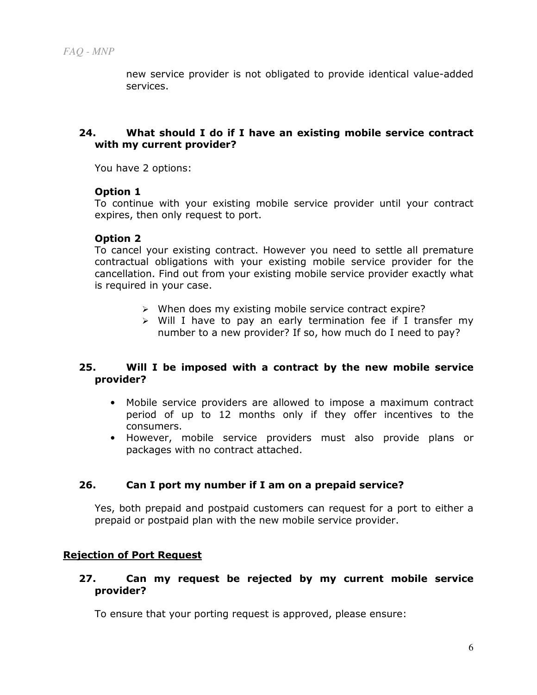new service provider is not obligated to provide identical value-added services.

### 24. What should I do if I have an existing mobile service contract with my current provider?

You have 2 options:

### Option 1

To continue with your existing mobile service provider until your contract expires, then only request to port.

#### Option 2

To cancel your existing contract. However you need to settle all premature contractual obligations with your existing mobile service provider for the cancellation. Find out from your existing mobile service provider exactly what is required in your case.

- > When does my existing mobile service contract expire?
- > Will I have to pay an early termination fee if I transfer my number to a new provider? If so, how much do I need to pay?

### 25. Will I be imposed with a contract by the new mobile service provider?

- Mobile service providers are allowed to impose a maximum contract period of up to 12 months only if they offer incentives to the consumers.
- However, mobile service providers must also provide plans or packages with no contract attached.

### 26. Can I port my number if I am on a prepaid service?

Yes, both prepaid and postpaid customers can request for a port to either a prepaid or postpaid plan with the new mobile service provider.

### Rejection of Port Request

### 27. Can my request be rejected by my current mobile service provider?

To ensure that your porting request is approved, please ensure: